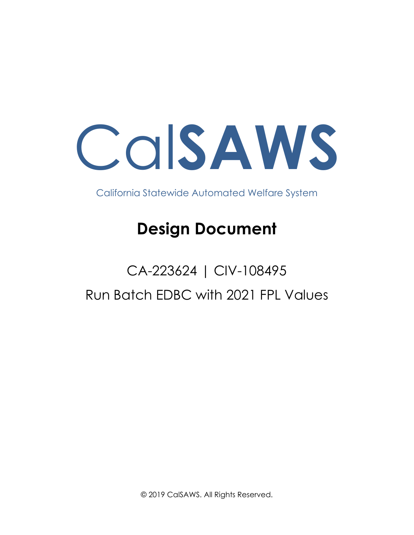Cal**SAWS**

California Statewide Automated Welfare System

# **Design Document**

# CA-223624 | CIV-108495 Run Batch EDBC with 2021 FPL Values

© 2019 CalSAWS. All Rights Reserved.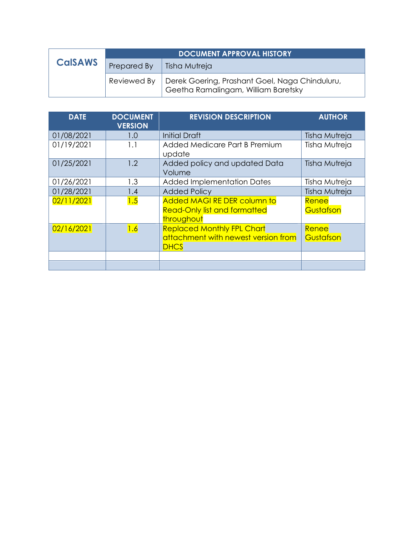|                | <b>DOCUMENT APPROVAL HISTORY</b> |                                                                                                     |
|----------------|----------------------------------|-----------------------------------------------------------------------------------------------------|
| <b>CalSAWS</b> | Prepared By                      | Tisha Mutreja                                                                                       |
|                |                                  | Reviewed By   Derek Goering, Prashant Goel, Naga Chinduluru,<br>Geetha Ramalingam, William Baretsky |

| <b>DATE</b> | <b>DOCUMENT</b><br><b>VERSION</b> | <b>REVISION DESCRIPTION</b>                                                             | <b>AUTHOR</b>      |
|-------------|-----------------------------------|-----------------------------------------------------------------------------------------|--------------------|
| 01/08/2021  | 1.0                               | <b>Initial Draft</b>                                                                    | Tisha Mutreja      |
| 01/19/2021  | 1.1                               | Added Medicare Part B Premium<br>update                                                 | Tisha Mutreja      |
| 01/25/2021  | 1.2                               | Added policy and updated Data<br>Volume                                                 | Tisha Mutreja      |
| 01/26/2021  | 1.3                               | <b>Added Implementation Dates</b>                                                       | Tisha Mutreja      |
| 01/28/2021  | 1.4                               | <b>Added Policy</b>                                                                     | Tisha Mutreja      |
| 02/11/2021  | 1.5                               | <b>Added MAGI RE DER column to</b><br><b>Read-Only list and formatted</b><br>throughout | Renee<br>Gustafson |
| 02/16/2021  | 1.6                               | <b>Replaced Monthly FPL Chart</b><br>attachment with newest version from<br><b>DHCS</b> | Renee<br>Gustafson |
|             |                                   |                                                                                         |                    |
|             |                                   |                                                                                         |                    |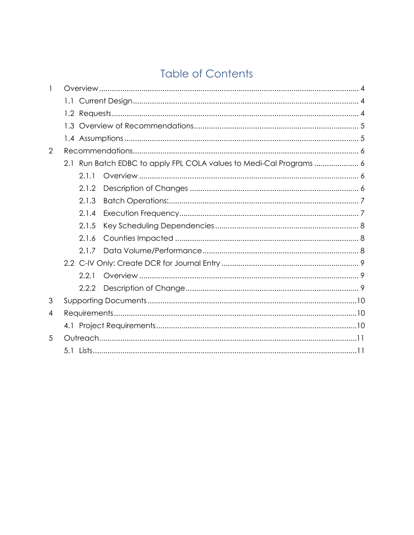# **Table of Contents**

| 2 |       |                                                                     |  |
|---|-------|---------------------------------------------------------------------|--|
|   |       | 2.1 Run Batch EDBC to apply FPL COLA values to Medi-Cal Programs  6 |  |
|   | 2.1.1 |                                                                     |  |
|   | 2.1.2 |                                                                     |  |
|   | 2.1.3 |                                                                     |  |
|   | 2.1.4 |                                                                     |  |
|   | 2.1.5 |                                                                     |  |
|   | 2.1.6 |                                                                     |  |
|   | 2.1.7 |                                                                     |  |
|   |       |                                                                     |  |
|   | 2.2.1 |                                                                     |  |
|   | 2.2.2 |                                                                     |  |
| 3 |       |                                                                     |  |
| 4 |       |                                                                     |  |
|   |       |                                                                     |  |
| 5 |       |                                                                     |  |
|   |       |                                                                     |  |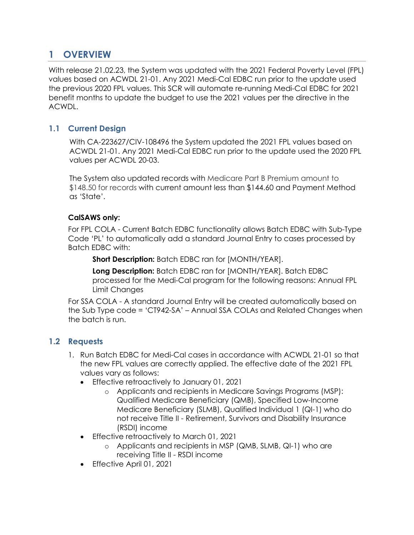### <span id="page-3-0"></span>**1 OVERVIEW**

With release 21.02.23, the System was updated with the 2021 Federal Poverty Level (FPL) values based on ACWDL 21-01. Any 2021 Medi-Cal EDBC run prior to the update used the previous 2020 FPL values. This SCR will automate re-running Medi-Cal EDBC for 2021 benefit months to update the budget to use the 2021 values per the directive in the ACWDL.

#### <span id="page-3-1"></span>**1.1 Current Design**

With CA-223627[/CIV-108496](https://c-iv.change.calsaws.net/browse/CIV-105301) the System updated the 2021 FPL values based on ACWDL 21-01. Any 2021 Medi-Cal EDBC run prior to the update used the 2020 FPL values per ACWDL 20-03.

The System also updated records with Medicare Part B Premium amount to \$148.50 for records with current amount less than \$144.60 and Payment Method as 'State'.

#### **CalSAWS only:**

For FPL COLA - Current Batch EDBC functionality allows Batch EDBC with Sub-Type Code 'PL' to automatically add a standard Journal Entry to cases processed by Batch EDBC with:

**Short Description:** Batch EDBC ran for [MONTH/YEAR].

**Long Description:** Batch EDBC ran for [MONTH/YEAR]. Batch EDBC processed for the Medi-Cal program for the following reasons: Annual FPL Limit Changes

For SSA COLA - A standard Journal Entry will be created automatically based on the Sub Type code = 'CT942-SA' – Annual SSA COLAs and Related Changes when the batch is run.

#### <span id="page-3-2"></span>**1.2 Requests**

- 1. Run Batch EDBC for Medi-Cal cases in accordance with ACWDL 21-01 so that the new FPL values are correctly applied. The effective date of the 2021 FPL values vary as follows:
	- Effective retroactively to January 01, 2021
		- o Applicants and recipients in Medicare Savings Programs (MSP): Qualified Medicare Beneficiary (QMB), Specified Low-Income Medicare Beneficiary (SLMB), Qualified Individual 1 (QI-1) who do not receive Title II - Retirement, Survivors and Disability Insurance (RSDI) income
	- Effective retroactively to March 01, 2021
		- o Applicants and recipients in MSP (QMB, SLMB, QI-1) who are receiving Title II - RSDI income
	- Effective April 01, 2021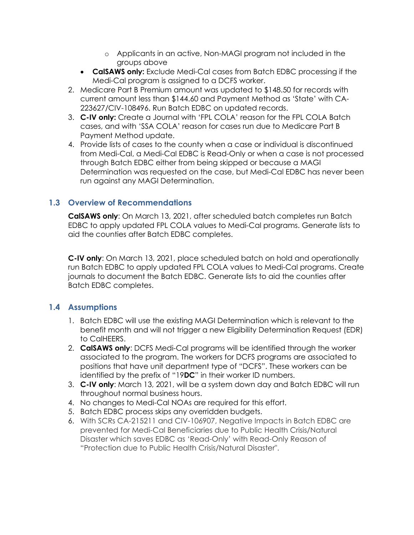- o Applicants in an active, Non-MAGI program not included in the groups above
- **CalSAWS only:** Exclude Medi-Cal cases from Batch EDBC processing if the Medi-Cal program is assigned to a DCFS worker.
- 2. Medicare Part B Premium amount was updated to \$148.50 for records with current amount less than \$144.60 and Payment Method as 'State' with CA-223627/CIV-108496. Run Batch EDBC on updated records.
- 3. **C-IV only:** Create a Journal with 'FPL COLA' reason for the FPL COLA Batch cases, and with 'SSA COLA' reason for cases run due to Medicare Part B Payment Method update.
- 4. Provide lists of cases to the county when a case or individual is discontinued from Medi-Cal, a Medi-Cal EDBC is Read-Only or when a case is not processed through Batch EDBC either from being skipped or because a MAGI Determination was requested on the case, but Medi-Cal EDBC has never been run against any MAGI Determination.

#### <span id="page-4-0"></span>**1.3 Overview of Recommendations**

**CalSAWS only**: On March 13, 2021, after scheduled batch completes run Batch EDBC to apply updated FPL COLA values to Medi-Cal programs. Generate lists to aid the counties after Batch EDBC completes.

**C-IV only**: On March 13, 2021, place scheduled batch on hold and operationally run Batch EDBC to apply updated FPL COLA values to Medi-Cal programs. Create journals to document the Batch EDBC. Generate lists to aid the counties after Batch EDBC completes.

#### <span id="page-4-1"></span>**1.4 Assumptions**

- 1. Batch EDBC will use the existing MAGI Determination which is relevant to the benefit month and will not trigger a new Eligibility Determination Request (EDR) to CalHEERS.
- 2. **CalSAWS only**: DCFS Medi-Cal programs will be identified through the worker associated to the program. The workers for DCFS programs are associated to positions that have unit department type of "DCFS". These workers can be identified by the prefix of "19**DC**" in their worker ID numbers.
- 3. **C-IV only**: March 13, 2021, will be a system down day and Batch EDBC will run throughout normal business hours.
- 4. No changes to Medi-Cal NOAs are required for this effort.
- 5. Batch EDBC process skips any overridden budgets.
- 6. With SCRs CA-215211 and CIV-106907, Negative Impacts in Batch EDBC are prevented for Medi-Cal Beneficiaries due to Public Health Crisis/Natural Disaster which saves EDBC as 'Read-Only' with Read-Only Reason of "Protection due to Public Health Crisis/Natural Disaster".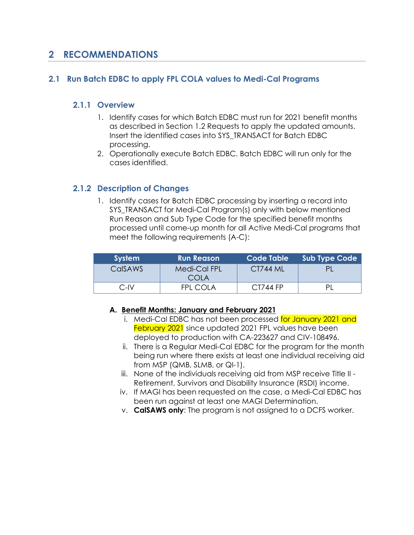### <span id="page-5-0"></span>**2 RECOMMENDATIONS**

#### <span id="page-5-2"></span><span id="page-5-1"></span>**2.1 Run Batch EDBC to apply FPL COLA values to Medi-Cal Programs**

#### **2.1.1 Overview**

- 1. Identify cases for which Batch EDBC must run for 2021 benefit months as described in Section 1.2 Requests to apply the updated amounts. Insert the identified cases into SYS\_TRANSACT for Batch EDBC processing.
- 2. Operationally execute Batch EDBC. Batch EDBC will run only for the cases identified.

#### <span id="page-5-3"></span>**2.1.2 Description of Changes**

1. Identify cases for Batch EDBC processing by inserting a record into SYS TRANSACT for Medi-Cal Program(s) only with below mentioned Run Reason and Sub Type Code for the specified benefit months processed until come-up month for all Active Medi-Cal programs that meet the following requirements (A-C):

| <b>System</b>  | <b>Run Reason</b>    | Code Table      | <b>Sub Type Code</b> |
|----------------|----------------------|-----------------|----------------------|
| <b>CalSAWS</b> | Medi-Cal FPL<br>COLA | <b>CT744 ML</b> |                      |
| C-IV           | FPI COI A            | CT744 FP        |                      |

#### **A. Benefit Months: January and February 2021**

- i. Medi-Cal EDBC has not been processed for January 2021 and February 2021 since updated 2021 FPL values have been deployed to production with CA-223627 and CIV-108496.
- ii. There is a Regular Medi-Cal EDBC for the program for the month being run where there exists at least one individual receiving aid from MSP (QMB, SLMB, or QI-1).
- iii. None of the individuals receiving aid from MSP receive Title II Retirement, Survivors and Disability Insurance (RSDI) income.
- iv. If MAGI has been requested on the case, a Medi-Cal EDBC has been run against at least one MAGI Determination.
- v. **CalSAWS only**: The program is not assigned to a DCFS worker.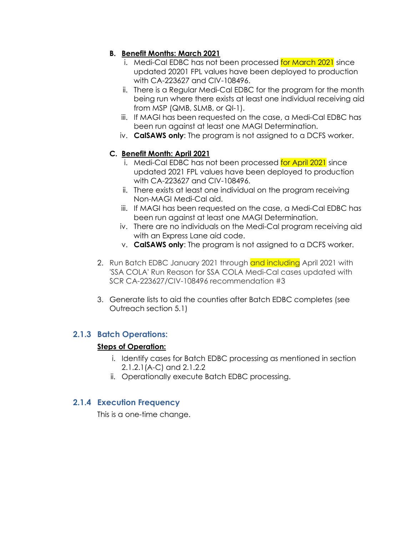#### **B. Benefit Months: March 2021**

- i. Medi-Cal EDBC has not been processed for March 2021 since updated 20201 FPL values have been deployed to production with CA-223627 and CIV-108496.
- ii. There is a Regular Medi-Cal EDBC for the program for the month being run where there exists at least one individual receiving aid from MSP (QMB, SLMB, or QI-1).
- iii. If MAGI has been requested on the case, a Medi-Cal EDBC has been run against at least one MAGI Determination.
- iv. **CalSAWS only**: The program is not assigned to a DCFS worker.

#### **C. Benefit Month: April 2021**

- i. Medi-Cal EDBC has not been processed for April 2021 since updated 2021 FPL values have been deployed to production with CA-223627 and CIV-108496.
- ii. There exists at least one individual on the program receiving Non-MAGI Medi-Cal aid.
- iii. If MAGI has been requested on the case, a Medi-Cal EDBC has been run against at least one MAGI Determination.
- iv. There are no individuals on the Medi-Cal program receiving aid with an Express Lane aid code.
- v. **CalSAWS only**: The program is not assigned to a DCFS worker.
- 2. Run Batch EDBC January 2021 through and including April 2021 with 'SSA COLA' Run Reason for SSA COLA Medi-Cal cases updated with SCR CA-223627/CIV-108496 recommendation #3
- 3. Generate lists to aid the counties after Batch EDBC completes (see Outreach section 5.1)

#### <span id="page-6-0"></span>**2.1.3 Batch Operations:**

#### **Steps of Operation:**

- i. Identify cases for Batch EDBC processing as mentioned in section 2.1.2.1(A-C) and 2.1.2.2
- ii. Operationally execute Batch EDBC processing.

#### <span id="page-6-1"></span>**2.1.4 Execution Frequency**

This is a one-time change.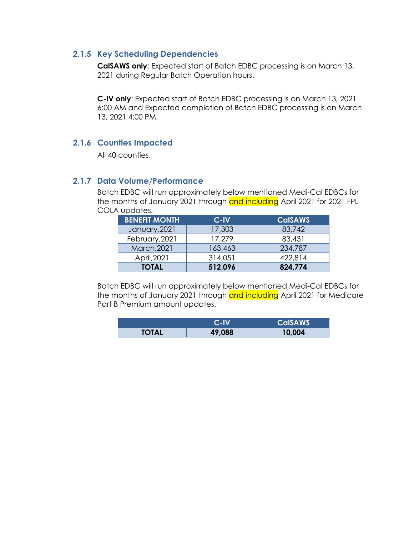#### <span id="page-7-0"></span>**2.1.5 Key Scheduling Dependencies**

**CalSAWS only**: Expected start of Batch EDBC processing is on March 13, 2021 during Regular Batch Operation hours.

**C-IV only**: Expected start of Batch EDBC processing is on March 13, 2021 6:00 AM and Expected completion of Batch EDBC processing is on March 13, 2021 4:00 PM.

#### <span id="page-7-1"></span>**2.1.6 Counties Impacted**

All 40 counties.

#### <span id="page-7-2"></span>**2.1.7 Data Volume/Performance**

Batch EDBC will run approximately below mentioned Medi-Cal EDBCs for the months of January 2021 through and including April 2021 for 2021 FPL COLA updates.

| <b>BENEFIT MONTH</b> | C-IV    | <b>CalSAWS</b> |
|----------------------|---------|----------------|
| January, 2021        | 17,303  | 83,742         |
| February, 2021       | 17,279  | 83,431         |
| March, 2021          | 163,463 | 234,787        |
| April, 2021          | 314,051 | 422,814        |
| <b>TOTAL</b>         | 512,096 | 824,774        |

Batch EDBC will run approximately below mentioned Medi-Cal EDBCs for the months of January 2021 through and including April 2021 for Medicare Part B Premium amount updates.

|              | C-IV   | <b>CalSAWS</b> |
|--------------|--------|----------------|
| <b>TOTAL</b> | 49,088 | 10,004         |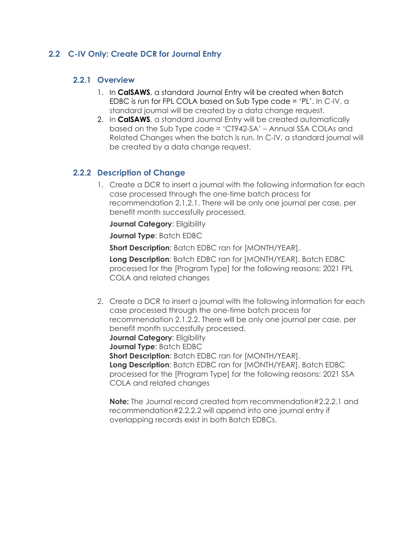#### <span id="page-8-1"></span><span id="page-8-0"></span>**2.2 C-IV Only: Create DCR for Journal Entry**

#### **2.2.1 Overview**

- 1. In **CalSAWS**, a standard Journal Entry will be created when Batch EDBC is run for FPL COLA based on Sub Type code = 'PL'. In C-IV, a standard journal will be created by a data change request.
- 2. In **CalSAWS**, a standard Journal Entry will be created automatically based on the Sub Type code = 'CT942-SA' – Annual SSA COLAs and Related Changes when the batch is run. In C-IV, a standard journal will be created by a data change request.

#### <span id="page-8-2"></span>**2.2.2 Description of Change**

1. Create a DCR to insert a journal with the following information for each case processed through the one-time batch process for recommendation 2.1.2.1. There will be only one journal per case, per benefit month successfully processed.

**Journal Category: Eligibility** 

**Journal Type**: Batch EDBC

**Short Description**: Batch EDBC ran for [MONTH/YEAR].

**Long Description**: Batch EDBC ran for [MONTH/YEAR]. Batch EDBC processed for the [Program Type] for the following reasons: 2021 FPL COLA and related changes

2. Create a DCR to insert a journal with the following information for each case processed through the one-time batch process for recommendation 2.1.2.2. There will be only one journal per case, per benefit month successfully processed. **Journal Category: Eligibility Journal Type**: Batch EDBC **Short Description**: Batch EDBC ran for [MONTH/YEAR]. **Long Description**: Batch EDBC ran for [MONTH/YEAR]. Batch EDBC processed for the [Program Type] for the following reasons: 2021 SSA COLA and related changes

**Note:** The Journal record created from recommendation#2.2.2.1 and recommendation#2.2.2.2 will append into one journal entry if overlapping records exist in both Batch EDBCs.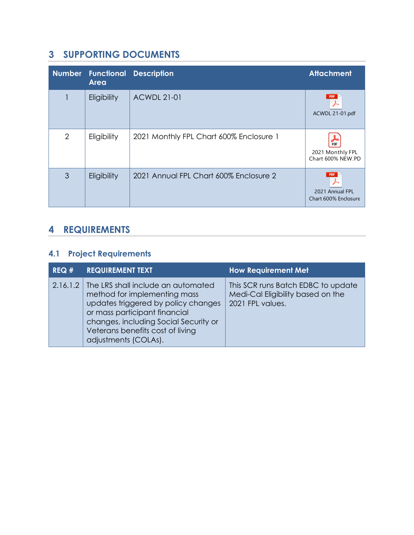# <span id="page-9-0"></span>**3 SUPPORTING DOCUMENTS**

| <b>Number</b>  | <b>Area</b> | <b>Functional Description</b>           | <b>Attachment</b>                                     |
|----------------|-------------|-----------------------------------------|-------------------------------------------------------|
|                | Eligibility | <b>ACWDL 21-01</b>                      | <b>PDF</b><br>ACWDL 21-01.pdf                         |
| $\overline{2}$ | Eligibility | 2021 Monthly FPL Chart 600% Enclosure 1 | 2021 Monthly FPL<br>Chart 600% NEW.PD                 |
| 3              | Eligibility | 2021 Annual FPL Chart 600% Enclosure 2  | <b>PDF</b><br>2021 Annual FPL<br>Chart 600% Enclosure |

# <span id="page-9-1"></span>**4 REQUIREMENTS**

# <span id="page-9-2"></span>**4.1 Project Requirements**

| REQ# | <b>REQUIREMENT TEXT</b>                                                                                                                                                                                                                                  | <b>How Requirement Met</b>                                                                  |
|------|----------------------------------------------------------------------------------------------------------------------------------------------------------------------------------------------------------------------------------------------------------|---------------------------------------------------------------------------------------------|
|      | 2.16.1.2 The LRS shall include an automated<br>method for implementing mass<br>updates triggered by policy changes<br>or mass participant financial<br>changes, including Social Security or<br>Veterans benefits cost of living<br>adjustments (COLAs). | This SCR runs Batch EDBC to update<br>Medi-Cal Eligibility based on the<br>2021 FPL values. |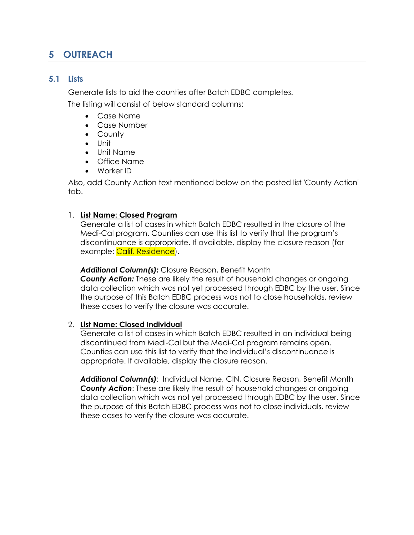# <span id="page-10-0"></span>**5 OUTREACH**

#### <span id="page-10-1"></span>**5.1 Lists**

Generate lists to aid the counties after Batch EDBC completes.

The listing will consist of below standard columns:

- Case Name
- Case Number
- County
- Unit
- Unit Name
- Office Name
- Worker ID

Also, add County Action text mentioned below on the posted list 'County Action' tab.

#### 1. **List Name: Closed Program**

Generate a list of cases in which Batch EDBC resulted in the closure of the Medi-Cal program. Counties can use this list to verify that the program's discontinuance is appropriate. If available, display the closure reason (for example: Calif. Residence).

*Additional Column(s):* Closure Reason, Benefit Month *County Action:* These are likely the result of household changes or ongoing data collection which was not yet processed through EDBC by the user. Since the purpose of this Batch EDBC process was not to close households, review these cases to verify the closure was accurate.

#### 2. **List Name: Closed Individual**

Generate a list of cases in which Batch EDBC resulted in an individual being discontinued from Medi-Cal but the Medi-Cal program remains open. Counties can use this list to verify that the individual's discontinuance is appropriate. If available, display the closure reason.

*Additional Column(s)*: Individual Name, CIN, Closure Reason, Benefit Month *County Action*: These are likely the result of household changes or ongoing data collection which was not yet processed through EDBC by the user. Since the purpose of this Batch EDBC process was not to close individuals, review these cases to verify the closure was accurate.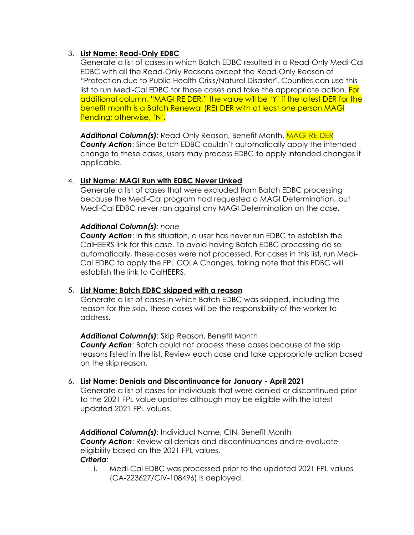#### 3. **List Name: Read-Only EDBC**

Generate a list of cases in which Batch EDBC resulted in a Read-Only Medi-Cal EDBC with all the Read-Only Reasons except the Read-Only Reason of "Protection due to Public Health Crisis/Natural Disaster". Counties can use this list to run Medi-Cal EDBC for those cases and take the appropriate action. For additional column, "MAGI RE DER," the value will be 'Y' if the latest DER for the benefit month is a Batch Renewal (RE) DER with at least one person MAGI Pending; otherwise, 'N'.

*Additional Column(s)*: Read-Only Reason, Benefit Month, MAGI RE DER *County Action*: Since Batch EDBC couldn't automatically apply the intended change to these cases, users may process EDBC to apply intended changes if applicable.

#### 4. **List Name: MAGI Run with EDBC Never Linked**

Generate a list of cases that were excluded from Batch EDBC processing because the Medi-Cal program had requested a MAGI Determination, but Medi-Cal EDBC never ran against any MAGI Determination on the case.

#### *Additional Column(s): none*

*County Action*: In this situation, a user has never run EDBC to establish the CalHEERS link for this case. To avoid having Batch EDBC processing do so automatically, these cases were not processed. For cases in this list, run Medi-Cal EDBC to apply the FPL COLA Changes, taking note that this EDBC will establish the link to CalHEERS.

#### 5. **List Name: Batch EDBC skipped with a reason**

Generate a list of cases in which Batch EDBC was skipped, including the reason for the skip. These cases will be the responsibility of the worker to address.

#### *Additional Column(s)*: Skip Reason, Benefit Month

*County Action*: Batch could not process these cases because of the skip reasons listed in the list. Review each case and take appropriate action based on the skip reason.

#### 6. **List Name: Denials and Discontinuance for January - April 2021**

Generate a list of cases for individuals that were denied or discontinued prior to the 2021 FPL value updates although may be eligible with the latest updated 2021 FPL values.

*Additional Column(s)*: Individual Name, CIN, Benefit Month *County Action*: Review all denials and discontinuances and re-evaluate eligibility based on the 2021 FPL values. *Criteria*:

i. Medi-Cal EDBC was processed prior to the updated 2021 FPL values (CA-223627[/CIV-108496\)](https://c-iv.change.calsaws.net/browse/CIV-105301) is deployed.